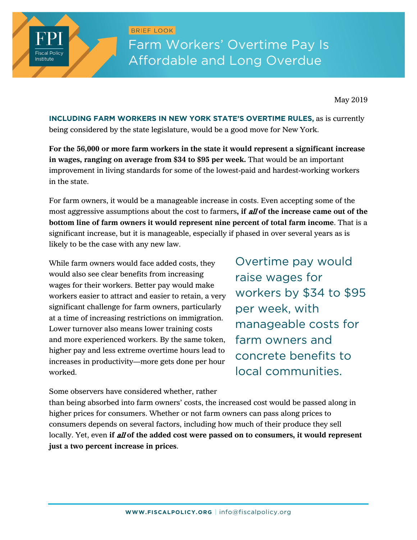BRIEF LOOK Farm Workers' Overtime Pay Is Affordable and Long Overdue

May 2019

**INCLUDING FARM WORKERS IN NEW YORK STATE'S OVERTIME RULES,** as is currently being considered by the state legislature, would be a good move for New York.

**For the 56,000 or more farm workers in the state it would represent a significant increase in wages, ranging on average from \$34 to \$95 per week.** That would be an important improvement in living standards for some of the lowest-paid and hardest-working workers in the state.

For farm owners, it would be a manageable increase in costs. Even accepting some of the most aggressive assumptions about the cost to farmers**, if** all **of the increase came out of the bottom line of farm owners it would represent nine percent of total farm income**. That is a significant increase, but it is manageable, especially if phased in over several years as is likely to be the case with any new law.

While farm owners would face added costs, they would also see clear benefits from increasing wages for their workers. Better pay would make workers easier to attract and easier to retain, a very significant challenge for farm owners, particularly at a time of increasing restrictions on immigration. Lower turnover also means lower training costs and more experienced workers. By the same token, higher pay and less extreme overtime hours lead to increases in productivity—more gets done per hour worked.

Fiscal Policy  $n$ stitute

> Overtime pay would raise wages for workers by \$34 to \$95 per week, with manageable costs for farm owners and concrete benefits to local communities.

Some observers have considered whether, rather

than being absorbed into farm owners' costs, the increased cost would be passed along in higher prices for consumers. Whether or not farm owners can pass along prices to consumers depends on several factors, including how much of their produce they sell locally. Yet, even if all of the added cost were passed on to consumers, it would represent **just a two percent increase in prices**.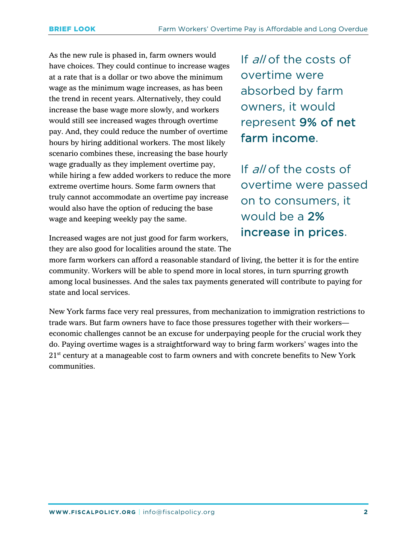As the new rule is phased in, farm owners would have choices. They could continue to increase wages at a rate that is a dollar or two above the minimum wage as the minimum wage increases, as has been the trend in recent years. Alternatively, they could increase the base wage more slowly, and workers would still see increased wages through overtime pay. And, they could reduce the number of overtime hours by hiring additional workers. The most likely scenario combines these, increasing the base hourly wage gradually as they implement overtime pay, while hiring a few added workers to reduce the more extreme overtime hours. Some farm owners that truly cannot accommodate an overtime pay increase would also have the option of reducing the base wage and keeping weekly pay the same.

Increased wages are not just good for farm workers, they are also good for localities around the state. The If all of the costs of overtime were absorbed by farm owners, it would represent 9% of net farm income.

If all of the costs of overtime were passed on to consumers, it would be a 2% increase in prices.

more farm workers can afford a reasonable standard of living, the better it is for the entire community. Workers will be able to spend more in local stores, in turn spurring growth among local businesses. And the sales tax payments generated will contribute to paying for state and local services.

New York farms face very real pressures, from mechanization to immigration restrictions to trade wars. But farm owners have to face those pressures together with their workers economic challenges cannot be an excuse for underpaying people for the crucial work they do. Paying overtime wages is a straightforward way to bring farm workers' wages into the  $21<sup>st</sup>$  century at a manageable cost to farm owners and with concrete benefits to New York communities.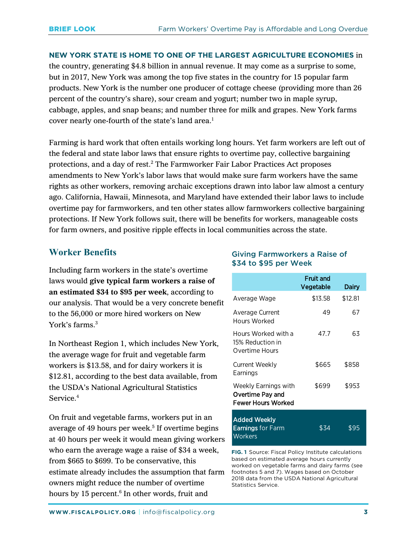### **NEW YORK STATE IS HOME TO ONE OF THE LARGEST AGRICULTURE ECONOMIES** in

the country, generating \$4.8 billion in annual revenue. It may come as a surprise to some, but in 2017, New York was among the top five states in the country for 15 popular farm products. New York is the number one producer of cottage cheese (providing more than 26 percent of the country's share), sour cream and yogurt; number two in maple syrup, cabbage, apples, and snap beans; and number three for milk and grapes. New York farms cover nearly one-fourth of the state's land area. 1

Farming is hard work that often entails working long hours. Yet farm workers are left out of the federal and state labor laws that ensure rights to overtime pay, collective bargaining protections, and a day of rest.2 The Farmworker Fair Labor Practices Act proposes amendments to New York's labor laws that would make sure farm workers have the same rights as other workers, removing archaic exceptions drawn into labor law almost a century ago. California, Hawaii, Minnesota, and Maryland have extended their labor laws to include overtime pay for farmworkers, and ten other states allow farmworkers collective bargaining protections. If New York follows suit, there will be benefits for workers, manageable costs for farm owners, and positive ripple effects in local communities across the state.

## **Worker Benefits**

Including farm workers in the state's overtime laws would **give typical farm workers a raise of an estimated \$34 to \$95 per week**, according to our analysis. That would be a very concrete benefit to the 56,000 or more hired workers on New York's farms.<sup>3</sup>

In Northeast Region 1, which includes New York, the average wage for fruit and vegetable farm workers is \$13.58, and for dairy workers it is \$12.81, according to the best data available, from the USDA's National Agricultural Statistics Service. 4

On fruit and vegetable farms, workers put in an average of 49 hours per week.<sup>5</sup> If overtime begins at 40 hours per week it would mean giving workers who earn the average wage a raise of \$34 a week, from \$665 to \$699. To be conservative, this estimate already includes the assumption that farm owners might reduce the number of overtime hours by 15 percent. <sup>6</sup> In other words, fruit and

### Giving Farmworkers a Raise of \$34 to \$95 per Week

|                                                                       | Fruit and<br>Vegetable | Dairy   |
|-----------------------------------------------------------------------|------------------------|---------|
| Average Wage                                                          | \$13.58                | \$12.81 |
| Average Current<br>Hours Worked                                       | 49                     | 67      |
| Hours Worked with a<br>15% Reduction in<br>Overtime Hours             | 47.7                   | 63      |
| Current Weekly<br>Earnings                                            | \$665                  | \$858   |
| Weekly Earnings with<br>Overtime Pay and<br><b>Fewer Hours Worked</b> | \$699                  | \$953   |
| Added Weekly<br><b>Earnings for Farm</b>                              | \$34                   | \$95    |

**FIG. 1** Source: Fiscal Policy Institute calculations based on estimated average hours currently worked on vegetable farms and dairy farms (see footnotes 5 and 7). Wages based on October 2018 data from the USDA National Agricultural Statistics Service.

**Workers**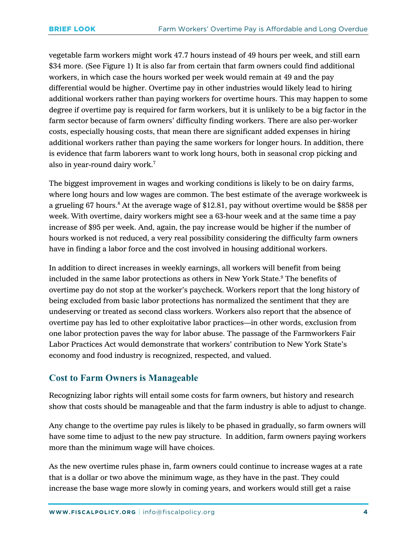vegetable farm workers might work 47.7 hours instead of 49 hours per week, and still earn \$34 more. (See Figure 1) It is also far from certain that farm owners could find additional workers, in which case the hours worked per week would remain at 49 and the pay differential would be higher. Overtime pay in other industries would likely lead to hiring additional workers rather than paying workers for overtime hours. This may happen to some degree if overtime pay is required for farm workers, but it is unlikely to be a big factor in the farm sector because of farm owners' difficulty finding workers. There are also per-worker costs, especially housing costs, that mean there are significant added expenses in hiring additional workers rather than paying the same workers for longer hours. In addition, there is evidence that farm laborers want to work long hours, both in seasonal crop picking and also in year-round dairy work.7

The biggest improvement in wages and working conditions is likely to be on dairy farms, where long hours and low wages are common. The best estimate of the average workweek is a grueling 67 hours.<sup>8</sup> At the average wage of  $$12.81$ , pay without overtime would be \$858 per week. With overtime, dairy workers might see a 63-hour week and at the same time a pay increase of \$95 per week. And, again, the pay increase would be higher if the number of hours worked is not reduced, a very real possibility considering the difficulty farm owners have in finding a labor force and the cost involved in housing additional workers.

In addition to direct increases in weekly earnings, all workers will benefit from being included in the same labor protections as others in New York State. 9 The benefits of overtime pay do not stop at the worker's paycheck. Workers report that the long history of being excluded from basic labor protections has normalized the sentiment that they are undeserving or treated as second class workers. Workers also report that the absence of overtime pay has led to other exploitative labor practices—in other words, exclusion from one labor protection paves the way for labor abuse. The passage of the Farmworkers Fair Labor Practices Act would demonstrate that workers' contribution to New York State's economy and food industry is recognized, respected, and valued.

# **Cost to Farm Owners is Manageable**

Recognizing labor rights will entail some costs for farm owners, but history and research show that costs should be manageable and that the farm industry is able to adjust to change.

Any change to the overtime pay rules is likely to be phased in gradually, so farm owners will have some time to adjust to the new pay structure. In addition, farm owners paying workers more than the minimum wage will have choices.

As the new overtime rules phase in, farm owners could continue to increase wages at a rate that is a dollar or two above the minimum wage, as they have in the past. They could increase the base wage more slowly in coming years, and workers would still get a raise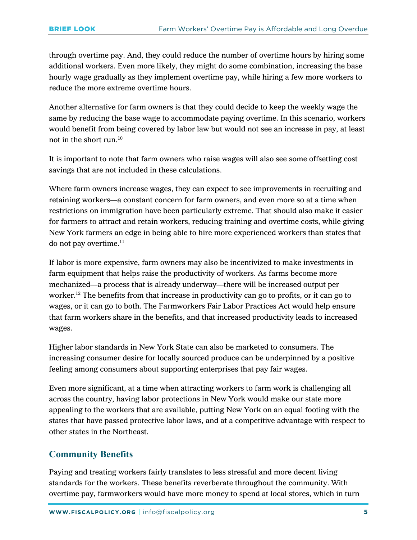through overtime pay. And, they could reduce the number of overtime hours by hiring some additional workers. Even more likely, they might do some combination, increasing the base hourly wage gradually as they implement overtime pay, while hiring a few more workers to reduce the more extreme overtime hours.

Another alternative for farm owners is that they could decide to keep the weekly wage the same by reducing the base wage to accommodate paying overtime. In this scenario, workers would benefit from being covered by labor law but would not see an increase in pay, at least not in the short run.10

It is important to note that farm owners who raise wages will also see some offsetting cost savings that are not included in these calculations.

Where farm owners increase wages, they can expect to see improvements in recruiting and retaining workers—a constant concern for farm owners, and even more so at a time when restrictions on immigration have been particularly extreme. That should also make it easier for farmers to attract and retain workers, reducing training and overtime costs, while giving New York farmers an edge in being able to hire more experienced workers than states that do not pay overtime. 11

If labor is more expensive, farm owners may also be incentivized to make investments in farm equipment that helps raise the productivity of workers. As farms become more mechanized—a process that is already underway—there will be increased output per worker.<sup>12</sup> The benefits from that increase in productivity can go to profits, or it can go to wages, or it can go to both. The Farmworkers Fair Labor Practices Act would help ensure that farm workers share in the benefits, and that increased productivity leads to increased wages.

Higher labor standards in New York State can also be marketed to consumers. The increasing consumer desire for locally sourced produce can be underpinned by a positive feeling among consumers about supporting enterprises that pay fair wages.

Even more significant, at a time when attracting workers to farm work is challenging all across the country, having labor protections in New York would make our state more appealing to the workers that are available, putting New York on an equal footing with the states that have passed protective labor laws, and at a competitive advantage with respect to other states in the Northeast.

# **Community Benefits**

Paying and treating workers fairly translates to less stressful and more decent living standards for the workers. These benefits reverberate throughout the community. With overtime pay, farmworkers would have more money to spend at local stores, which in turn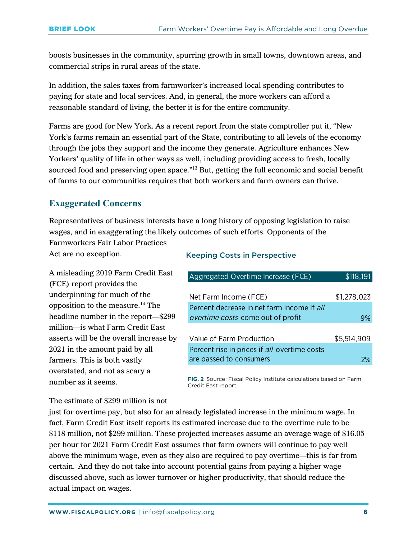boosts businesses in the community, spurring growth in small towns, downtown areas, and commercial strips in rural areas of the state.

In addition, the sales taxes from farmworker's increased local spending contributes to paying for state and local services. And, in general, the more workers can afford a reasonable standard of living, the better it is for the entire community.

Farms are good for New York. As a recent report from the state comptroller put it, "New York's farms remain an essential part of the State, contributing to all levels of the economy through the jobs they support and the income they generate. Agriculture enhances New Yorkers' quality of life in other ways as well, including providing access to fresh, locally sourced food and preserving open space."<sup>13</sup> But, getting the full economic and social benefit of farms to our communities requires that both workers and farm owners can thrive.

# **Exaggerated Concerns**

Representatives of business interests have a long history of opposing legislation to raise wages, and in exaggerating the likely outcomes of such efforts. Opponents of the Farmworkers Fair Labor Practices

Act are no exception.

A misleading 2019 Farm Credit East (FCE) report provides the underpinning for much of the opposition to the measure.<sup>14</sup> The headline number in the report—\$299 million—is what Farm Credit East asserts will be the overall increase by 2021 in the amount paid by all farmers. This is both vastly overstated, and not as scary a number as it seems.

## Keeping Costs in Perspective

| Aggregated Overtime Increase (FCE)           | \$118,191   |
|----------------------------------------------|-------------|
|                                              |             |
| Net Farm Income (FCE)                        | \$1,278,023 |
| Percent decrease in net farm income if all   |             |
| overtime costs come out of profit            | 9%          |
|                                              |             |
| Value of Farm Production                     | \$5,514,909 |
| Percent rise in prices if all overtime costs |             |
| are passed to consumers                      |             |

**FIG. 2** Source: Fiscal Policy Institute calculations based on Farm Credit East report.

The estimate of \$299 million is not

just for overtime pay, but also for an already legislated increase in the minimum wage. In fact, Farm Credit East itself reports its estimated increase due to the overtime rule to be \$118 million, not \$299 million. These projected increases assume an average wage of \$16.05 per hour for 2021 Farm Credit East assumes that farm owners will continue to pay well above the minimum wage, even as they also are required to pay overtime—this is far from certain. And they do not take into account potential gains from paying a higher wage discussed above, such as lower turnover or higher productivity, that should reduce the actual impact on wages.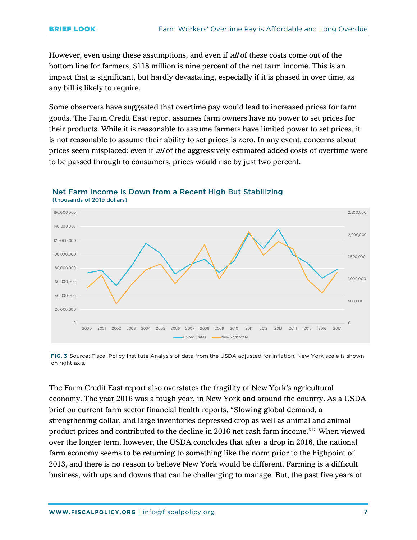However, even using these assumptions, and even if all of these costs come out of the bottom line for farmers, \$118 million is nine percent of the net farm income. This is an impact that is significant, but hardly devastating, especially if it is phased in over time, as any bill is likely to require.

Some observers have suggested that overtime pay would lead to increased prices for farm goods. The Farm Credit East report assumes farm owners have no power to set prices for their products. While it is reasonable to assume farmers have limited power to set prices, it is not reasonable to assume their ability to set prices is zero. In any event, concerns about prices seem misplaced: even if all of the aggressively estimated added costs of overtime were to be passed through to consumers, prices would rise by just two percent.



#### Net Farm Income Is Down from a Recent High But Stabilizing (thousands of 2019 dollars)

**FIG. 3** Source: Fiscal Policy Institute Analysis of data from the USDA adjusted for inflation. New York scale is shown on right axis.

The Farm Credit East report also overstates the fragility of New York's agricultural economy. The year 2016 was a tough year, in New York and around the country. As a USDA brief on current farm sector financial health reports, "Slowing global demand, a strengthening dollar, and large inventories depressed crop as well as animal and animal product prices and contributed to the decline in 2016 net cash farm income."15 When viewed over the longer term, however, the USDA concludes that after a drop in 2016, the national farm economy seems to be returning to something like the norm prior to the highpoint of 2013, and there is no reason to believe New York would be different. Farming is a difficult business, with ups and downs that can be challenging to manage. But, the past five years of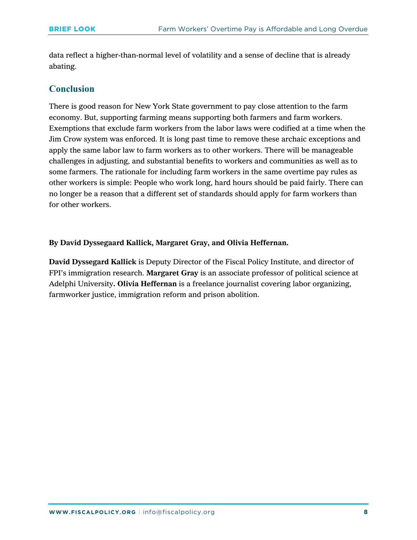data reflect a higher-than-normal level of volatility and a sense of decline that is already abating.

## **Conclusion**

There is good reason for New York State government to pay close attention to the farm economy. But, supporting farming means supporting both farmers and farm workers. Exemptions that exclude farm workers from the labor laws were codified at a time when the Jim Crow system was enforced. It is long past time to remove these archaic exceptions and apply the same labor law to farm workers as to other workers. There will be manageable challenges in adjusting, and substantial benefits to workers and communities as well as to some farmers. The rationale for including farm workers in the same overtime pay rules as other workers is simple: People who work long, hard hours should be paid fairly. There can no longer be a reason that a different set of standards should apply for farm workers than for other workers.

#### **By David Dyssegaard Kallick, Margaret Gray, and Olivia Heffernan.**

**David Dyssegard Kallick** is Deputy Director of the Fiscal Policy Institute, and director of FPI's immigration research. **Margaret Gray** is an associate professor of political science at Adelphi University**. Olivia Heffernan** is a freelance journalist covering labor organizing, farmworker justice, immigration reform and prison abolition.